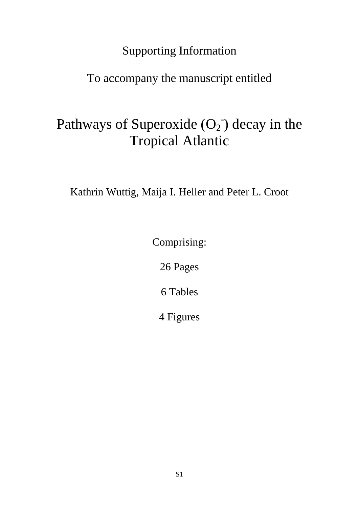## Supporting Information

## To accompany the manuscript entitled

# Pathways of Superoxide  $(O_2)$  decay in the Tropical Atlantic

Kathrin Wuttig, Maija I. Heller and Peter L. Croot

Comprising:

26 Pages

6 Tables

4 Figures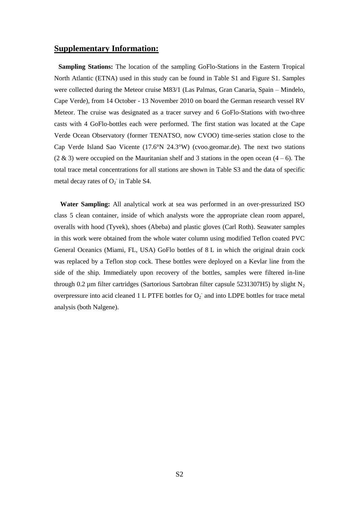### **Supplementary Information:**

**Sampling Stations:** The location of the sampling GoFlo-Stations in the Eastern Tropical North Atlantic (ETNA) used in this study can be found in [Table S1](#page-5-0) and [Figure S1.](#page-20-0) Samples were collected during the Meteor cruise M83/1 (Las Palmas, Gran Canaria, Spain – Mindelo, Cape Verde), from 14 October - 13 November 2010 on board the German research vessel RV Meteor. The cruise was designated as a tracer survey and 6 GoFlo-Stations with two-three casts with 4 GoFlo-bottles each were performed. The first station was located at the Cape Verde Ocean Observatory (former TENATSO, now CVOO) time-series station close to the Cap Verde Island Sao Vicente (17.6°N 24.3°W) (cvoo.geomar.de). The next two stations  $(2 \& 3)$  were occupied on the Mauritanian shelf and 3 stations in the open ocean  $(4-6)$ . The total trace metal concentrations for all stations are shown in [Table S3](#page-7-0) and the data of specific metal decay rates of  $O_2$  in Table S4.

**Water Sampling:** All analytical work at sea was performed in an over-pressurized ISO class 5 clean container, inside of which analysts wore the appropriate clean room apparel, overalls with hood (Tyvek), shoes (Abeba) and plastic gloves (Carl Roth). Seawater samples in this work were obtained from the whole water column using modified Teflon coated PVC General Oceanics (Miami, FL, USA) GoFlo bottles of 8 L in which the original drain cock was replaced by a Teflon stop cock. These bottles were deployed on a Kevlar line from the side of the ship. Immediately upon recovery of the bottles, samples were filtered in-line through 0.2 µm filter cartridges (Sartorious Sartobran filter capsule 5231307H5) by slight  $N_2$ overpressure into acid cleaned 1 L PTFE bottles for  $O_2$  and into LDPE bottles for trace metal analysis (both Nalgene).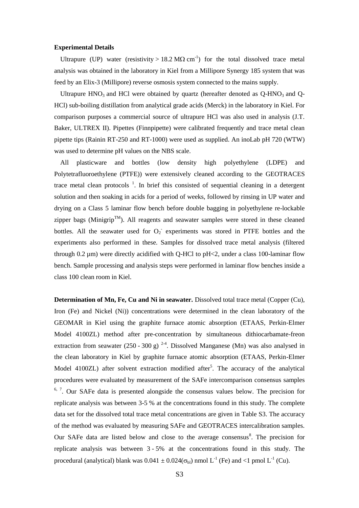#### **Experimental Details**

Ultrapure (UP) water (resistivity > 18.2 M $\Omega$  cm<sup>-1</sup>) for the total dissolved trace metal analysis was obtained in the laboratory in Kiel from a Millipore Synergy 185 system that was feed by an Elix-3 (Millipore) reverse osmosis system connected to the mains supply.

Ultrapure  $HNO<sub>3</sub>$  and HCl were obtained by quartz (hereafter denoted as  $Q-HNO<sub>3</sub>$  and  $Q-HNO<sub>4</sub>$ HCl) sub-boiling distillation from analytical grade acids (Merck) in the laboratory in Kiel. For comparison purposes a commercial source of ultrapure HCl was also used in analysis (J.T. Baker, ULTREX II). Pipettes (Finnpipette) were calibrated frequently and trace metal clean pipette tips (Rainin RT-250 and RT-1000) were used as supplied. An inoLab pH 720 (WTW) was used to determine pH values on the NBS scale.

All plasticware and bottles (low density high polyethylene (LDPE) and Polytetrafluoroethylene (PTFE)) were extensively cleaned according to the GEOTRACES trace metal clean protocols  $<sup>1</sup>$ [.](#page-24-0) In brief this consisted of sequential cleaning in a detergent</sup> solution and then soaking in acids for a period of weeks, followed by rinsing in UP water and drying on a Class 5 laminar flow bench before double bagging in polyethylene re-lockable zipper bags (Minigrip<sup>TM</sup>). All reagents and seawater samples were stored in these cleaned bottles. All the seawater used for  $O_2$  experiments was stored in PTFE bottles and the experiments also performed in these. Samples for dissolved trace metal analysis (filtered through 0.2 µm) were directly acidified with Q-HCl to pH<2, under a class 100-laminar flow bench. Sample processing and analysis steps were performed in laminar flow benches inside a class 100 clean room in Kiel.

**Determination of Mn, Fe, Cu and Ni in seawater.** Dissolved total trace metal (Copper (Cu), Iron (Fe) and Nickel (Ni)) concentrations were determined in the clean laboratory of the GEOMAR in Kiel using the graphite furnace atomic absorption (ETAAS, Perkin-Elmer Model 4100ZL) method after pre-concentration by simultaneous dithiocarbamate-freon extraction from seawater  $(250 - 300 g)^{24}$ [.](#page-24-1) Dissolved Manganese (Mn) was also analysed in the clean laboratory in Kiel by graphite furnace atomic absorption (ETAAS, Perkin-Elmer Model 4100ZL) afte[r](#page-24-2) solvent extraction modified after<sup>5</sup>. The accuracy of the analytical procedures were evaluated by measurement of the SAFe intercomparison consensus samples  $6, 7$  $6, 7$ . Our SAFe data is presented alongside the consensus values below. The precision for replicate analysis was between 3-5 % at the concentrations found in this study. The complete data set for the dissolved total trace metal concentrations are given in Table S3. The accuracy of the method was evaluated by measuring SAFe and GEOTRACES intercalibration samples. Our SAFe data are listed below and close to the average consensus $\delta$ [.](#page-24-5) The precision for replicate analysis was between 3 - 5% at the concentrations found in this study. The procedural (analytical) blank was  $0.041 \pm 0.024(\sigma_{bl})$  nmol L<sup>-1</sup> (Fe) and <1 pmol L<sup>-1</sup> (Cu).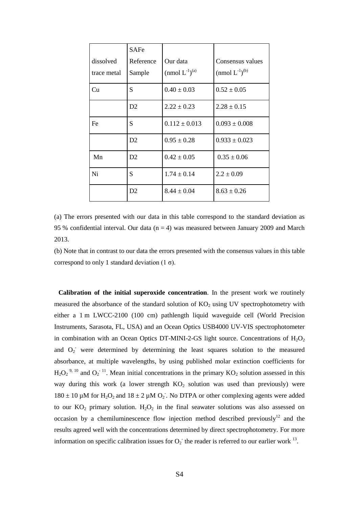| dissolved<br>trace metal | <b>SAFe</b><br>Reference<br>Sample | Our data<br>(nmol $L^{-1}$ ) <sup>(a)</sup> | Consensus values<br>(nmol $L^{-1}$ ) <sup>(b)</sup> |
|--------------------------|------------------------------------|---------------------------------------------|-----------------------------------------------------|
| Cu                       | S                                  | $0.40 \pm 0.03$                             | $0.52 \pm 0.05$                                     |
|                          | D2                                 | $2.22 \pm 0.23$                             | $2.28 \pm 0.15$                                     |
| Fe                       | S                                  | $0.112 \pm 0.013$                           | $0.093 \pm 0.008$                                   |
|                          | D2                                 | $0.95 \pm 0.28$                             | $0.933 \pm 0.023$                                   |
| Mn                       | D2                                 | $0.42 \pm 0.05$                             | $0.35 \pm 0.06$                                     |
| Ni                       | S                                  | $1.74 \pm 0.14$                             | $2.2 \pm 0.09$                                      |
|                          | D2                                 | $8.44 \pm 0.04$                             | $8.63 \pm 0.26$                                     |

(a) The errors presented with our data in this table correspond to the standard deviation as 95 % confidential interval. Our data  $(n = 4)$  was measured between January 2009 and March 2013.

(b) Note that in contrast to our data the errors presented with the consensus values in this table correspond to only 1 standard deviation  $(1 σ)$ .

**Calibration of the initial superoxide concentration**. In the present work we routinely measured the absorbance of the standard solution of  $KO<sub>2</sub>$  using UV spectrophotometry with either a 1 m LWCC-2100 (100 cm) pathlength liquid waveguide cell (World Precision Instruments, Sarasota, FL, USA) and an Ocean Optics USB4000 UV-VIS spectrophotometer in combination with an Ocean Optics DT-MINI-2-GS light source. Concentrations of  $H_2O_2$ and O<sub>2</sub> were determined by determining the least squares solution to the measured absorbance, at multiple wavelengths, by using published molar extinction coefficients for  $H_2O_2^{-9, 10}$  $H_2O_2^{-9, 10}$  $H_2O_2^{-9, 10}$  $H_2O_2^{-9, 10}$  and  $O_2^{-11}$  $O_2^{-11}$  $O_2^{-11}$ . Mean initial concentrations in the primary KO<sub>2</sub> solution assessed in this way during this work (a lower strength  $KO<sub>2</sub>$  solution was used than previously) were 180  $\pm$  10 µM for H<sub>2</sub>O<sub>2</sub> and 18  $\pm$  2 µM O<sub>2</sub>. No DTPA or other complexing agents were added to our  $KO_2$  primary solution.  $H_2O_2$  in the final seawater solutions was also assessed on occasion by a chemiluminescence flow injection method [described](#page-24-9) previously<sup>[12](#page-24-10)</sup> and the results agreed well with the concentrations determined by direct spectrophotometry. For more information on specific calibration issues for  $O_2$  the reader is referred to our earlier work <sup>[13](#page-24-11)</sup>.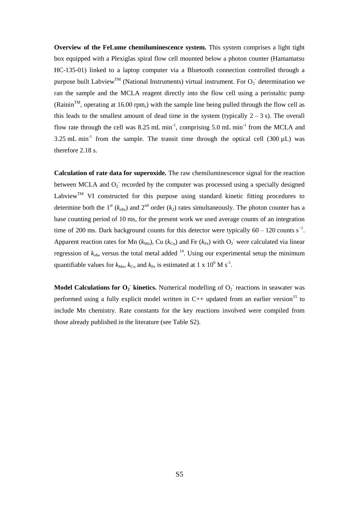**Overview of the FeLume chemiluminescence system.** This system comprises a light tight box equipped with a Plexiglas spiral flow cell mounted below a photon counter (Hamamatsu HC-135-01) linked to a laptop computer via a Bluetooth connection controlled through a purpose built Labview<sup>TM</sup> (National Instruments) virtual instrument. For  $O_2$  determination we ran the sample and the MCLA reagent directly into the flow cell using a peristaltic pump  $(Rainin<sup>TM</sup>$ , operating at 16.00 rpm,) with the sample line being pulled through the flow cell as this leads to the smallest amount of dead time in the system (typically  $2 - 3$  s). The overall flow rate through the cell was 8.25 mL min<sup>-1</sup>, comprising 5.0 mL min<sup>-1</sup> from the MCLA and 3.25 mL min<sup>-1</sup> from the sample. The transit time through the optical cell (300  $\mu$ L) was therefore 2.18 s.

**Calculation of rate data for superoxide.** The raw chemiluminescence signal for the reaction between MCLA and  $O_2$  recorded by the computer was processed using a specially designed Labview<sup>TM</sup> VI constructed for this purpose using standard kinetic fitting procedures to determine both the 1<sup>st</sup> ( $k_{obs}$ ) and 2<sup>nd</sup> order ( $k_2$ ) rates simultaneously. The photon counter has a base counting period of 10 ms, for the present work we used average counts of an integration time of 200 ms. Dark background counts for this detector were typically  $60 - 120$  counts s<sup>-1</sup>. Apparent reaction rates for Mn  $(k_{Mn})$ , Cu  $(k_{Cu})$  and Fe  $(k_{Fe})$  with  $O_2$ <sup>-</sup> were calculated via linear regression of  $k_{obs}$  versus the total metal added  $14$ . Using our experimental setup the minimum quantifiable values for  $k_{Mn}$ ,  $k_{Cu}$  and  $k_{Fe}$  is estimated at 1 x 10<sup>6</sup> M s<sup>-1</sup>.

**Model Calculations for**  $O_2$  **kinetics.** Numerical modelling of  $O_2$  reactions in seawater was performed using a fully explicit model written in  $C_{++}$  updated from an earlier version<sup>[15](#page-24-12)</sup> to include Mn chemistry. Rate constants for the key reactions involved were compiled from those already published in the literature (see Table S2).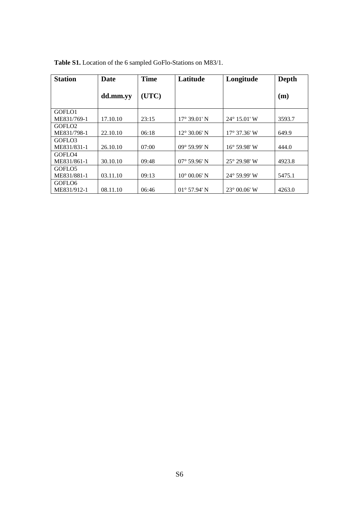| <b>Station</b>     | Date     | <b>Time</b> | Latitude              | Longitude             | Depth  |
|--------------------|----------|-------------|-----------------------|-----------------------|--------|
|                    | dd.mm.yy | (UTC)       |                       |                       | (m)    |
| GOFLO1             |          |             |                       |                       |        |
| ME831/769-1        | 17.10.10 | 23:15       | $17^{\circ}$ 39.01' N | $24^{\circ}$ 15.01' W | 3593.7 |
| GOFLO <sub>2</sub> |          |             |                       |                       |        |
| ME831/798-1        | 22.10.10 | 06:18       | $12^{\circ}$ 30.06' N | $17^{\circ}$ 37.36' W | 649.9  |
| GOFLO3             |          |             |                       |                       |        |
| ME831/831-1        | 26.10.10 | 07:00       | $09^{\circ}$ 59.99' N | $16^{\circ}$ 59.98' W | 444.0  |
| GOFLO <sub>4</sub> |          |             |                       |                       |        |
| ME831/861-1        | 30.10.10 | 09:48       | $07^{\circ}$ 59.96' N | $25^{\circ}$ 29.98' W | 4923.8 |
| GOFLO <sub>5</sub> |          |             |                       |                       |        |
| ME831/881-1        | 03.11.10 | 09:13       | $10^{\circ}$ 00.06' N | $24^{\circ}$ 59.99' W | 5475.1 |
| GOFLO <sub>6</sub> |          |             |                       |                       |        |
| ME831/912-1        | 08.11.10 | 06:46       | $01^{\circ}$ 57.94' N | $23^{\circ}$ 00.06' W | 4263.0 |

<span id="page-5-0"></span>

|  |  |  |  | <b>Table S1.</b> Location of the 6 sampled GoFlo-Stations on M83/1. |  |
|--|--|--|--|---------------------------------------------------------------------|--|
|--|--|--|--|---------------------------------------------------------------------|--|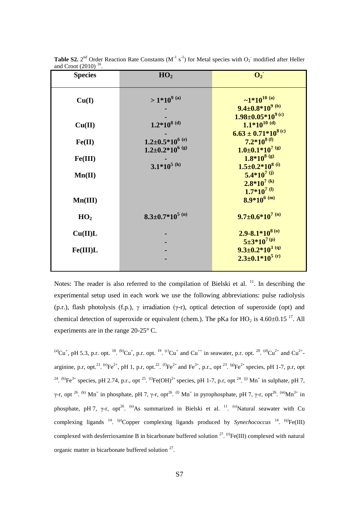| <b>Species</b>  | HO <sub>2</sub>                              | $\mathbf{O}_2$                                                                |
|-----------------|----------------------------------------------|-------------------------------------------------------------------------------|
| Cu(I)           | $>1*10^{9}$ (a)                              | $\sim 1*10^{10}$ (a)<br>$9.4 \pm 0.8*10^{9}$ (b)                              |
| Cu(II)          | $1.2*10^{8}$ (d)                             | $1.98 \pm 0.05*10^{9}$ (c)<br>$1.1*10^{10}$ (d)<br>$6.63 \pm 0.71*10^{8}$ (c) |
| Fe(II)          | $1.2 \pm 0.5*10^{6}$ <sup>(e)</sup>          | $7.2*10^{8(f)}$                                                               |
| Fe(III)         | $1.2 \pm 0.2*10^{6}$ (g)<br>$3.1*10^{5}$ (h) | $1.0 \pm 0.1*10^{7}$ (g)<br>$1.8*10^{8}$ (g)<br>$1.5 \pm 0.2*10^{8}$ (i)      |
| Mn(II)          |                                              | $5.4*10^{7}$ (j)<br>$2.8*10^{7}$ (k)                                          |
| Mn(III)         |                                              | $1.7*10^{7}$ <sup>(l)</sup><br>$8.9*10^{6}$ (m)                               |
| HO <sub>2</sub> | $8.3 \pm 0.7*10^{5}$ (n)                     | $9.7 \pm 0.6*10^{7}$ (n)                                                      |
| Cu(II)L         |                                              | $2.9 - 8.1 * 10^{8(0)}$<br>$5\pm3*10^{7(p)}$                                  |
| Fe(III)L        |                                              | $9.3 \pm 0.2 \times 10^{3}$ (q)<br>$2.3 \pm 0.1*10^{5}$ (r)                   |

**Table S2.**  $2^{nd}$  Order Reaction Rate Constants (M<sup>-1</sup> s<sup>-1</sup>) for Metal species with  $O_2$  modified after Heller and Croot  $(2010)$  <sup>[16](#page-25-0)</sup>.

Notes: The reader is also referred to the compilation of Bielski et al.  $^{11}$  $^{11}$  $^{11}$ . In describing the experimental setup used in each work we use the following abbreviations: pulse radiolysis (p.r.), flash photolysis (f.p.),  $\gamma$  irradiation ( $\gamma$ -r), optical detection of superoxide (opt) and chemical detection of superoxide or equivalent (chem.). The pKa for  $HO_2$  is 4.60±0.15<sup>[17](#page-25-1)</sup>. All experiments are in the range 20-25° C.

(a)Cu<sup>+</sup>, pH 5.3, p.r. opt. <sup>[18](#page-25-2)</sup>. <sup>(b)</sup>Cu<sup>+</sup>, p.r. opt. <sup>[19](#page-25-3)</sup>. <sup>(c)</sup>Cu<sup>+</sup> and Cu<sup>++</sup> in seawater, p.r. opt. <sup>[20](#page-25-4)</sup>. <sup>(d)</sup>Cu<sup>2+</sup> and Cu<sup>2+</sup>-arginine, p.r, opt.<sup>[21](#page-25-5)</sup>. <sup>(e)</sup>Fe<sup>2+</sup>, pH 1, p.r, opt.<sup>[22](#page-25-6)</sup>. <sup>(f)</sup>Fe<sup>2+</sup> and Fe<sup>3+</sup>, p.r., opt<sup>[23](#page-25-7)</sup>. <sup>(g)</sup>Fe<sup>2+</sup> species, pH 1-7, p.r, opt <sup>[24](#page-25-8)</sup>. (h)Fe<sup>3+</sup> species, pH 2.74, p.r., opt <sup>[25](#page-25-9)</sup>. <sup>(i)</sup>Fe(OH)<sup>2+</sup> species, pH 1-7, p.r, opt <sup>24</sup>. <sup>(j)</sup> Mn<sup>+</sup> in sulphate, pH 7, γ-r, opt<sup>[26](#page-25-10)</sup>. <sup>(k)</sup> Mn<sup>+</sup> in phosphate, pH 7, γ-r, opt<sup>26</sup>. <sup>(l)</sup> Mn<sup>+</sup> in pyrophosphate, pH 7, γ-r, opt<sup>26</sup>. <sup>(m)</sup>Mn<sup>3+</sup> in phosphate, pH 7,  $\gamma$ -r, opt<sup>[26](#page-25-10)</sup>. <sup>(n)</sup>As summarized in Bielski et al. <sup>[11](#page-24-8)</sup>. <sup>(o)</sup>Natural seawater with Cu complexing ligands  $^{14}$  $^{14}$  $^{14}$ . <sup>(p)</sup>Copper complexing ligands produced by *Synechococcus*  $^{14}$ . <sup>(q)</sup>Fe(III) complexed with desferrioxamine B in bicarbonate buffered solution  $27.$  $27.$  <sup>(r)</sup>Fe(III) complexed with natural organic matter in bicarbonate buffered solution  $27$ .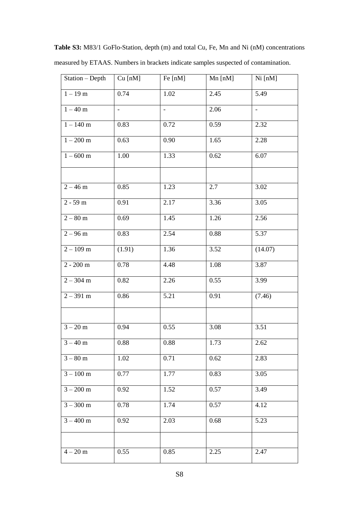| $\overline{\text{Station}}$ - Depth | $Cu$ [nM] | Fe [nM]                  | Mn [nM]           | Ni [nM]                  |
|-------------------------------------|-----------|--------------------------|-------------------|--------------------------|
| $1 - 19$ m                          | 0.74      | 1.02                     | $2.\overline{45}$ | 5.49                     |
| $1 - 40$ m                          | $\Box$    | $\overline{\phantom{0}}$ | 2.06              | $\overline{\phantom{a}}$ |
| $1 - 140$ m                         | 0.83      | 0.72                     | 0.59              | 2.32                     |
| $1 - 200$ m                         | 0.63      | 0.90                     | 1.65              | 2.28                     |
| $1 - 600$ m                         | 1.00      | 1.33                     | 0.62              | 6.07                     |
|                                     |           |                          |                   |                          |
| $2 - 46$ m                          | 0.85      | 1.23                     | 2.7               | 3.02                     |
| $2 - 59$ m                          | 0.91      | 2.17                     | 3.36              | 3.05                     |
| $2-80~\mathrm{m}$                   | 0.69      | 1.45                     | 1.26              | 2.56                     |
| $2 - 96$ m                          | 0.83      | 2.54                     | 0.88              | 5.37                     |
| $2 - 109$ m                         | (1.91)    | 1.36                     | 3.52              | (14.07)                  |
| $2 - 200$ m                         | 0.78      | 4.48                     | 1.08              | 3.87                     |
| $2 - 304$ m                         | $0.82\,$  | 2.26                     | 0.55              | 3.99                     |
| $2 - 391$ m                         | 0.86      | 5.21                     | 0.91              | (7.46)                   |
|                                     |           |                          |                   |                          |
| $3 - 20 m$                          | 0.94      | 0.55                     | 3.08              | 3.51                     |
| $3 - 40$ m                          | $0.88\,$  | 0.88                     | 1.73              | 2.62                     |
| $3 - 80$ m                          | 1.02      | 0.71                     | 0.62              | 2.83                     |
| $3 - 100$ m                         | 0.77      | 1.77                     | 0.83              | 3.05                     |
| $3 - 200$ m                         | 0.92      | 1.52                     | 0.57              | 3.49                     |
| $3 - 300$ m                         | 0.78      | 1.74                     | 0.57              | 4.12                     |
| $\frac{1}{3} - 400$ m               | 0.92      | 2.03                     | 0.68              | 5.23                     |
|                                     |           |                          |                   |                          |
| $4 - 20 m$                          | 0.55      | 0.85                     | 2.25              | 2.47                     |

<span id="page-7-0"></span>**Table S3:** M83/1 GoFlo-Station, depth (m) and total Cu, Fe, Mn and Ni (nM) concentrations measured by ETAAS. Numbers in brackets indicate samples suspected of contamination.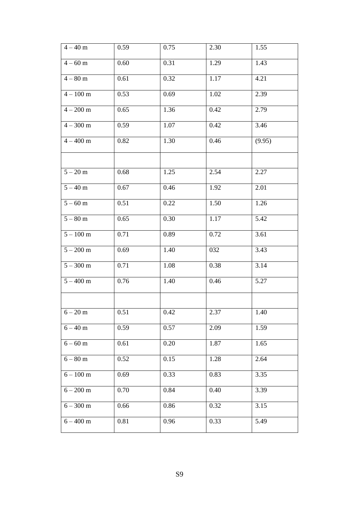| $4 - 40$ m         | 0.59 | 0.75 | 2.30 | 1.55   |
|--------------------|------|------|------|--------|
| $4 - 60$ m         | 0.60 | 0.31 | 1.29 | 1.43   |
| $4 - 80$ m         | 0.61 | 0.32 | 1.17 | 4.21   |
| $4 - 100$ m        | 0.53 | 0.69 | 1.02 | 2.39   |
| $4 - 200$ m        | 0.65 | 1.36 | 0.42 | 2.79   |
| $4 - 300$ m        | 0.59 | 1.07 | 0.42 | 3.46   |
| $4 - 400$ m        | 0.82 | 1.30 | 0.46 | (9.95) |
|                    |      |      |      |        |
| $5 - 20$ m         | 0.68 | 1.25 | 2.54 | 2.27   |
| $5 - 40$ m         | 0.67 | 0.46 | 1.92 | 2.01   |
| $5 - 60$ m         | 0.51 | 0.22 | 1.50 | 1.26   |
| $5 - 80$ m         | 0.65 | 0.30 | 1.17 | 5.42   |
| $5 - 100$ m        | 0.71 | 0.89 | 0.72 | 3.61   |
| $5 - 200$ m        | 0.69 | 1.40 | 032  | 3.43   |
| $5 - 300$ m        | 0.71 | 1.08 | 0.38 | 3.14   |
| $5 - 400$ m        | 0.76 | 1.40 | 0.46 | 5.27   |
|                    |      |      |      |        |
| $6 - 20$ m         | 0.51 | 0.42 | 2.37 | 1.40   |
| $6 - 40$ m         | 0.59 | 0.57 | 2.09 | 1.59   |
| $6 - 60$ m         | 0.61 | 0.20 | 1.87 | 1.65   |
| $6 - 80$ m         | 0.52 | 0.15 | 1.28 | 2.64   |
| $6-100~\mathrm{m}$ | 0.69 | 0.33 | 0.83 | 3.35   |
| $6 - 200$ m        | 0.70 | 0.84 | 0.40 | 3.39   |
| $6 - 300$ m        | 0.66 | 0.86 | 0.32 | 3.15   |
| $6 - 400$ m        | 0.81 | 0.96 | 0.33 | 5.49   |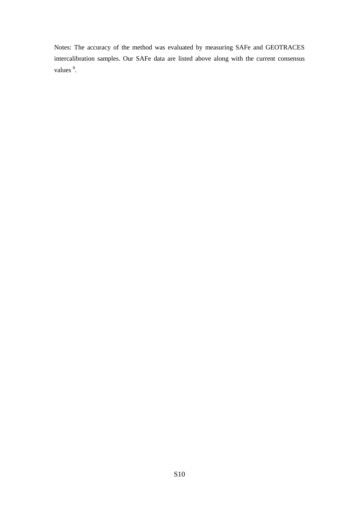Notes: The accuracy of the method was evaluated by measuring SAFe and GEOTRACES intercalibration samples. Our SAFe data are listed above along with the current consensus values  $\degree$ .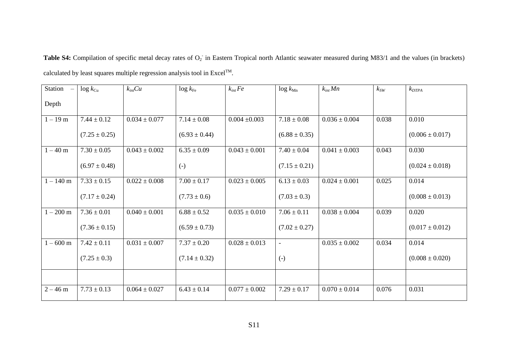Table S4: Compilation of specific metal decay rates of O<sub>2</sub> in Eastern Tropical north Atlantic seawater measured during M83/1 and the values (in brackets) calculated by least squares multiple regression analysis tool in Excel<sup>TM</sup>.

| Station<br>$\sim$ | $\log k_{\text{Cu}}$ | $k_{int}Cu$       | $\log k_{\text{Fe}}$ | $k_{int}$ Fe      | $\log k_{\text{Mn}}$ | $k_{int}$ Mn      | $k_{SW}$ | $k_{DTPA}$          |
|-------------------|----------------------|-------------------|----------------------|-------------------|----------------------|-------------------|----------|---------------------|
| Depth             |                      |                   |                      |                   |                      |                   |          |                     |
| $1 - 19$ m        | $7.44 \pm 0.12$      | $0.034 \pm 0.077$ | $7.14 \pm 0.08$      | $0.004 \pm 0.003$ | $7.18 \pm 0.08$      | $0.036 \pm 0.004$ | 0.038    | 0.010               |
|                   | $(7.25 \pm 0.25)$    |                   | $(6.93 \pm 0.44)$    |                   | $(6.88 \pm 0.35)$    |                   |          | $(0.006 \pm 0.017)$ |
| $1 - 40$ m        | $7.30 \pm 0.05$      | $0.043 \pm 0.002$ | $6.35 \pm 0.09$      | $0.043 \pm 0.001$ | $7.40 \pm 0.04$      | $0.041 \pm 0.003$ | 0.043    | 0.030               |
|                   | $(6.97 \pm 0.48)$    |                   | $(-)$                |                   | $(7.15 \pm 0.21)$    |                   |          | $(0.024 \pm 0.018)$ |
| $1 - 140$ m       | $7.33 \pm 0.15$      | $0.022 \pm 0.008$ | $7.00 \pm 0.17$      | $0.023 \pm 0.005$ | $6.13 \pm 0.03$      | $0.024 \pm 0.001$ | 0.025    | 0.014               |
|                   | $(7.17 \pm 0.24)$    |                   | $(7.73 \pm 0.6)$     |                   | $(7.03 \pm 0.3)$     |                   |          | $(0.008 \pm 0.013)$ |
| $1 - 200$ m       | $7.36 \pm 0.01$      | $0.040 \pm 0.001$ | $6.88 \pm 0.52$      | $0.035 \pm 0.010$ | $7.06 \pm 0.11$      | $0.038 \pm 0.004$ | 0.039    | 0.020               |
|                   | $(7.36 \pm 0.15)$    |                   | $(6.59 \pm 0.73)$    |                   | $(7.02 \pm 0.27)$    |                   |          | $(0.017 \pm 0.012)$ |
| $1 - 600$ m       | $7.42 \pm 0.11$      | $0.031 \pm 0.007$ | $7.37 \pm 0.20$      | $0.028 \pm 0.013$ | $\equiv$             | $0.035 \pm 0.002$ | 0.034    | 0.014               |
|                   | $(7.25 \pm 0.3)$     |                   | $(7.14 \pm 0.32)$    |                   | $\left( -\right)$    |                   |          | $(0.008 \pm 0.020)$ |
|                   |                      |                   |                      |                   |                      |                   |          |                     |
| $2 - 46$ m        | $7.73 \pm 0.13$      | $0.064 \pm 0.027$ | $6.43 \pm 0.14$      | $0.077 \pm 0.002$ | $7.29 \pm 0.17$      | $0.070 \pm 0.014$ | 0.076    | 0.031               |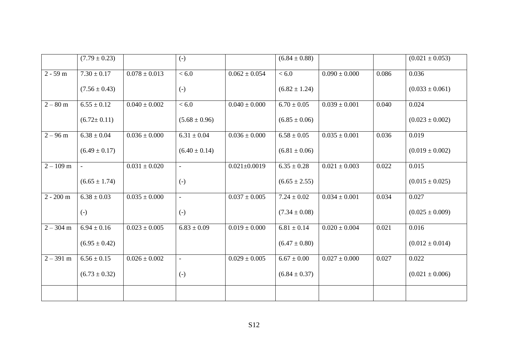|             | $(7.79 \pm 0.23)$ |                   | $(-)$                    |                    | $(6.84 \pm 0.88)$ |                   |       | $(0.021 \pm 0.053)$ |
|-------------|-------------------|-------------------|--------------------------|--------------------|-------------------|-------------------|-------|---------------------|
| $2 - 59$ m  | $7.30 \pm 0.17$   | $0.078 \pm 0.013$ | $\overline{0.6}$         | $0.062 \pm 0.054$  | < 6.0             | $0.090 \pm 0.000$ | 0.086 | 0.036               |
|             | $(7.56 \pm 0.43)$ |                   | $(-)$                    |                    | $(6.82 \pm 1.24)$ |                   |       | $(0.033 \pm 0.061)$ |
| $2 - 80$ m  | $6.55 \pm 0.12$   | $0.040 \pm 0.002$ | <6.0                     | $0.040 \pm 0.000$  | $6.70 \pm 0.05$   | $0.039 \pm 0.001$ | 0.040 | 0.024               |
|             | $(6.72 \pm 0.11)$ |                   | $(5.68 \pm 0.96)$        |                    | $(6.85 \pm 0.06)$ |                   |       | $(0.023 \pm 0.002)$ |
| $2 - 96$ m  | $6.38 \pm 0.04$   | $0.036 \pm 0.000$ | $6.31 \pm 0.04$          | $0.036 \pm 0.000$  | $6.58 \pm 0.05$   | $0.035 \pm 0.001$ | 0.036 | 0.019               |
|             | $(6.49 \pm 0.17)$ |                   | $(6.40 \pm 0.14)$        |                    | $(6.81 \pm 0.06)$ |                   |       | $(0.019 \pm 0.002)$ |
| $2 - 109$ m | $\sim$            | $0.031 \pm 0.020$ | $\equiv$                 | $0.021 \pm 0.0019$ | $6.35 \pm 0.28$   | $0.021 \pm 0.003$ | 0.022 | 0.015               |
|             | $(6.65 \pm 1.74)$ |                   | $(-)$                    |                    | $(6.65 \pm 2.55)$ |                   |       | $(0.015 \pm 0.025)$ |
| $2 - 200$ m | $6.38 \pm 0.03$   | $0.035 \pm 0.000$ | $\overline{\phantom{a}}$ | $0.037 \pm 0.005$  | $7.24 \pm 0.02$   | $0.034 \pm 0.001$ | 0.034 | 0.027               |
|             | $(-)$             |                   | $(-)$                    |                    | $(7.34 \pm 0.08)$ |                   |       | $(0.025 \pm 0.009)$ |
| $2 - 304$ m | $6.94 \pm 0.16$   | $0.023 \pm 0.005$ | $6.83 \pm 0.09$          | $0.019 \pm 0.000$  | $6.81 \pm 0.14$   | $0.020 \pm 0.004$ | 0.021 | 0.016               |
|             | $(6.95 \pm 0.42)$ |                   |                          |                    | $(6.47 \pm 0.80)$ |                   |       | $(0.012 \pm 0.014)$ |
| $2 - 391$ m | $6.56 \pm 0.15$   | $0.026 \pm 0.002$ | $\blacksquare$           | $0.029 \pm 0.005$  | $6.67 \pm 0.00$   | $0.027 \pm 0.000$ | 0.027 | 0.022               |
|             | $(6.73 \pm 0.32)$ |                   | $(-)$                    |                    | $(6.84 \pm 0.37)$ |                   |       | $(0.021 \pm 0.006)$ |
|             |                   |                   |                          |                    |                   |                   |       |                     |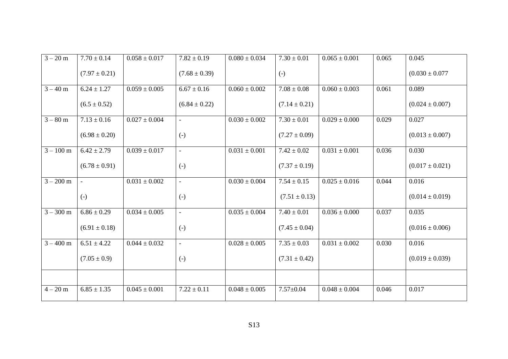| $3 - 20 m$  | $7.70 \pm 0.14$            | $0.058 \pm 0.017$ | $7.82 \pm 0.19$   | $0.080 \pm 0.034$ | $7.30 \pm 0.01$   | $0.065 \pm 0.001$ | 0.065 | 0.045               |
|-------------|----------------------------|-------------------|-------------------|-------------------|-------------------|-------------------|-------|---------------------|
|             | $(7.97 \pm 0.21)$          |                   | $(7.68 \pm 0.39)$ |                   | $\left( -\right)$ |                   |       | $(0.030 \pm 0.077)$ |
| $3 - 40 m$  | $6.24 \pm 1.27$            | $0.059 \pm 0.005$ | $6.67 \pm 0.16$   | $0.060 \pm 0.002$ | $7.08 \pm 0.08$   | $0.060 \pm 0.003$ | 0.061 | 0.089               |
|             | $(6.5 \pm 0.52)$           |                   | $(6.84 \pm 0.22)$ |                   | $(7.14 \pm 0.21)$ |                   |       | $(0.024 \pm 0.007)$ |
| $3 - 80$ m  | $\overline{7.13} \pm 0.16$ | $0.027 \pm 0.004$ | $\blacksquare$    | $0.030 \pm 0.002$ | $7.30 \pm 0.01$   | $0.029 \pm 0.000$ | 0.029 | 0.027               |
|             | $(6.98 \pm 0.20)$          |                   | $\left( -\right)$ |                   | $(7.27 \pm 0.09)$ |                   |       | $(0.013 \pm 0.007)$ |
| $3 - 100$ m | $6.42 \pm 2.79$            | $0.039 \pm 0.017$ | $\equiv$          | $0.031 \pm 0.001$ | $7.42 \pm 0.02$   | $0.031 \pm 0.001$ | 0.036 | 0.030               |
|             | $(6.78 \pm 0.91)$          |                   | $(-)$             |                   | $(7.37 \pm 0.19)$ |                   |       | $(0.017 \pm 0.021)$ |
| $3 - 200$ m | $\mathbf{r}$               | $0.031 \pm 0.002$ | $\blacksquare$    | $0.030 \pm 0.004$ | $7.54 \pm 0.15$   | $0.025 \pm 0.016$ | 0.044 | 0.016               |
|             | $(-)$                      |                   | $\left( -\right)$ |                   | $(7.51 \pm 0.13)$ |                   |       | $(0.014 \pm 0.019)$ |
| $3 - 300$ m | $6.86 \pm 0.29$            | $0.034 \pm 0.005$ | $\blacksquare$    | $0.035 \pm 0.004$ | $7.40 \pm 0.01$   | $0.036 \pm 0.000$ | 0.037 | 0.035               |
|             | $(6.91 \pm 0.18)$          |                   | $\left( -\right)$ |                   | $(7.45 \pm 0.04)$ |                   |       | $(0.016 \pm 0.006)$ |
| $3 - 400$ m | $6.51 \pm 4.22$            | $0.044 \pm 0.032$ | $\blacksquare$    | $0.028 \pm 0.005$ | $7.35 \pm 0.03$   | $0.031 \pm 0.002$ | 0.030 | 0.016               |
|             | $(7.05 \pm 0.9)$           |                   | $(-)$             |                   | $(7.31 \pm 0.42)$ |                   |       | $(0.019 \pm 0.039)$ |
|             |                            |                   |                   |                   |                   |                   |       |                     |
| $4 - 20$ m  | $6.85 \pm 1.35$            | $0.045 \pm 0.001$ | $7.22 \pm 0.11$   | $0.048 \pm 0.005$ | $7.57 \pm 0.04$   | $0.048 \pm 0.004$ | 0.046 | 0.017               |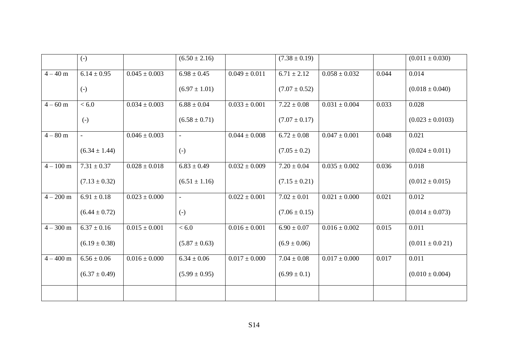|             | $\left( -\right)$ |                   | $(6.50 \pm 2.16)$ |                   | $(7.38 \pm 0.19)$ |                   |       | $(0.011 \pm 0.030)$  |
|-------------|-------------------|-------------------|-------------------|-------------------|-------------------|-------------------|-------|----------------------|
| $4 - 40 m$  | $6.14 \pm 0.95$   | $0.045 \pm 0.003$ | $6.98 \pm 0.45$   | $0.049 \pm 0.011$ | $6.71 \pm 2.12$   | $0.058 \pm 0.032$ | 0.044 | 0.014                |
|             | $\left( -\right)$ |                   | $(6.97 \pm 1.01)$ |                   | $(7.07 \pm 0.52)$ |                   |       | $(0.018 \pm 0.040)$  |
| $4 - 60$ m  | < 6.0             | $0.034 \pm 0.003$ | $6.88 \pm 0.04$   | $0.033 \pm 0.001$ | $7.22 \pm 0.08$   | $0.031 \pm 0.004$ | 0.033 | 0.028                |
|             | $(-)$             |                   | $(6.58 \pm 0.71)$ |                   | $(7.07 \pm 0.17)$ |                   |       | $(0.023 \pm 0.0103)$ |
| $4 - 80$ m  | $\equiv$          | $0.046 \pm 0.003$ | $\equiv$          | $0.044 \pm 0.008$ | $6.72 \pm 0.08$   | $0.047 \pm 0.001$ | 0.048 | 0.021                |
|             | $(6.34 \pm 1.44)$ |                   | $(-)$             |                   | $(7.05 \pm 0.2)$  |                   |       | $(0.024 \pm 0.011)$  |
| $4 - 100$ m | $7.31 \pm 0.37$   | $0.028 \pm 0.018$ | $6.83 \pm 0.49$   | $0.032 \pm 0.009$ | $7.20 \pm 0.04$   | $0.035 \pm 0.002$ | 0.036 | 0.018                |
|             | $(7.13 \pm 0.32)$ |                   | $(6.51 \pm 1.16)$ |                   | $(7.15 \pm 0.21)$ |                   |       | $(0.012 \pm 0.015)$  |
| $4 - 200$ m | $6.91 \pm 0.18$   | $0.023 \pm 0.000$ | $\omega$          | $0.022 \pm 0.001$ | $7.02 \pm 0.01$   | $0.021 \pm 0.000$ | 0.021 | 0.012                |
|             | $(6.44 \pm 0.72)$ |                   | $(-)$             |                   | $(7.06 \pm 0.15)$ |                   |       | $(0.014 \pm 0.073)$  |
| $4 - 300$ m | $6.37 \pm 0.16$   | $0.015 \pm 0.001$ | <6.0              | $0.016 \pm 0.001$ | $6.90 \pm 0.07$   | $0.016 \pm 0.002$ | 0.015 | 0.011                |
|             | $(6.19 \pm 0.38)$ |                   | $(5.87 \pm 0.63)$ |                   | $(6.9 \pm 0.06)$  |                   |       | $(0.011 \pm 0.021)$  |
| $4 - 400$ m | $6.56 \pm 0.06$   | $0.016 \pm 0.000$ | $6.34 \pm 0.06$   | $0.017 \pm 0.000$ | $7.04 \pm 0.08$   | $0.017 \pm 0.000$ | 0.017 | 0.011                |
|             | $(6.37 \pm 0.49)$ |                   | $(5.99 \pm 0.95)$ |                   | $(6.99 \pm 0.1)$  |                   |       | $(0.010 \pm 0.004)$  |
|             |                   |                   |                   |                   |                   |                   |       |                      |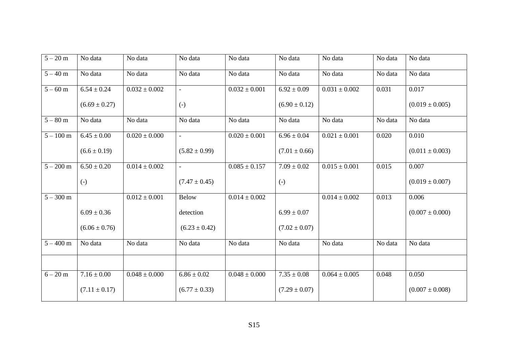| $5 - 20$ m  | No data           | No data           | No data           | No data           | No data           | No data           | No data | No data             |
|-------------|-------------------|-------------------|-------------------|-------------------|-------------------|-------------------|---------|---------------------|
| $5 - 40$ m  | No data           | No data           | No data           | No data           | No data           | No data           | No data | No data             |
| $5 - 60$ m  | $6.54 \pm 0.24$   | $0.032 \pm 0.002$ | $\mathbf{r}$      | $0.032 \pm 0.001$ | $6.92 \pm 0.09$   | $0.031 \pm 0.002$ | 0.031   | 0.017               |
|             | $(6.69 \pm 0.27)$ |                   | $\left( -\right)$ |                   | $(6.90 \pm 0.12)$ |                   |         | $(0.019 \pm 0.005)$ |
| $5 - 80$ m  | No data           | No data           | No data           | No data           | No data           | No data           | No data | No data             |
| $5 - 100$ m | $6.45 \pm 0.00$   | $0.020 \pm 0.000$ | $\equiv$          | $0.020 \pm 0.001$ | $6.96 \pm 0.04$   | $0.021 \pm 0.001$ | 0.020   | 0.010               |
|             | $(6.6 \pm 0.19)$  |                   | $(5.82 \pm 0.99)$ |                   | $(7.01 \pm 0.66)$ |                   |         | $(0.011 \pm 0.003)$ |
| $5 - 200$ m | $6.50 \pm 0.20$   | $0.014 \pm 0.002$ | $\equiv$          | $0.085 \pm 0.157$ | $7.09 \pm 0.02$   | $0.015 \pm 0.001$ | 0.015   | 0.007               |
|             | $(-)$             |                   | $(7.47 \pm 0.45)$ |                   | $\left( -\right)$ |                   |         | $(0.019 \pm 0.007)$ |
| $5 - 300$ m |                   | $0.012 \pm 0.001$ | <b>Below</b>      | $0.014 \pm 0.002$ |                   | $0.014 \pm 0.002$ | 0.013   | 0.006               |
|             | $6.09 \pm 0.36$   |                   | detection         |                   | $6.99 \pm 0.07$   |                   |         | $(0.007 \pm 0.000)$ |
|             | $(6.06 \pm 0.76)$ |                   | $(6.23 \pm 0.42)$ |                   | $(7.02 \pm 0.07)$ |                   |         |                     |
| $5 - 400$ m | No data           | No data           | No data           | No data           | No data           | No data           | No data | No data             |
|             |                   |                   |                   |                   |                   |                   |         |                     |
| $6 - 20$ m  | $7.16 \pm 0.00$   | $0.048 \pm 0.000$ | $6.86 \pm 0.02$   | $0.048 \pm 0.000$ | $7.35 \pm 0.08$   | $0.064 \pm 0.005$ | 0.048   | 0.050               |
|             | $(7.11 \pm 0.17)$ |                   | $(6.77 \pm 0.33)$ |                   | $(7.29 \pm 0.07)$ |                   |         | $(0.007 \pm 0.008)$ |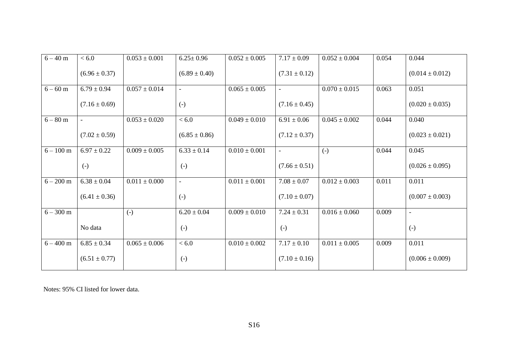| $6 - 40$ m  | < 6.0             | $0.053 \pm 0.001$ | $6.25 \pm 0.96$   | $0.052 \pm 0.005$ | $7.17 \pm 0.09$   | $0.052 \pm 0.004$ | 0.054 | 0.044               |
|-------------|-------------------|-------------------|-------------------|-------------------|-------------------|-------------------|-------|---------------------|
|             | $(6.96 \pm 0.37)$ |                   | $(6.89 \pm 0.40)$ |                   | $(7.31 \pm 0.12)$ |                   |       | $(0.014 \pm 0.012)$ |
| $6 - 60$ m  | $6.79 \pm 0.94$   | $0.057 \pm 0.014$ | $\blacksquare$    | $0.065 \pm 0.005$ | $\blacksquare$    | $0.070 \pm 0.015$ | 0.063 | 0.051               |
|             | $(7.16 \pm 0.69)$ |                   | $(-)$             |                   | $(7.16 \pm 0.45)$ |                   |       | $(0.020 \pm 0.035)$ |
| $6 - 80$ m  | $\sim$            | $0.053 \pm 0.020$ | <6.0              | $0.049 \pm 0.010$ | $6.91 \pm 0.06$   | $0.045 \pm 0.002$ | 0.044 | 0.040               |
|             | $(7.02 \pm 0.59)$ |                   | $(6.85 \pm 0.86)$ |                   | $(7.12 \pm 0.37)$ |                   |       | $(0.023 \pm 0.021)$ |
| $6 - 100$ m | $6.97 \pm 0.22$   | $0.009 \pm 0.005$ | $6.33 \pm 0.14$   | $0.010 \pm 0.001$ | $\blacksquare$    | $(-)$             | 0.044 | 0.045               |
|             | $(-)$             |                   | $(-)$             |                   | $(7.66 \pm 0.51)$ |                   |       | $(0.026 \pm 0.095)$ |
| $6 - 200$ m | $6.38 \pm 0.04$   | $0.011 \pm 0.000$ | $\blacksquare$    | $0.011 \pm 0.001$ | $7.08 \pm 0.07$   | $0.012 \pm 0.003$ | 0.011 | 0.011               |
|             | $(6.41 \pm 0.36)$ |                   | $\left( -\right)$ |                   | $(7.10 \pm 0.07)$ |                   |       | $(0.007 \pm 0.003)$ |
| $6 - 300$ m |                   | $(-)$             | $6.20 \pm 0.04$   | $0.009 \pm 0.010$ | $7.24 \pm 0.31$   | $0.016 \pm 0.060$ | 0.009 | $\blacksquare$      |
|             | No data           |                   | $(-)$             |                   | $(-)$             |                   |       | $\left( -\right)$   |
| $6 - 400$ m | $6.85 \pm 0.34$   | $0.065 \pm 0.006$ | <6.0              | $0.010 \pm 0.002$ | $7.17 \pm 0.10$   | $0.011 \pm 0.005$ | 0.009 | 0.011               |
|             | $(6.51 \pm 0.77)$ |                   | $(-)$             |                   | $(7.10 \pm 0.16)$ |                   |       | $(0.006 \pm 0.009)$ |

Notes: 95% CI listed for lower data.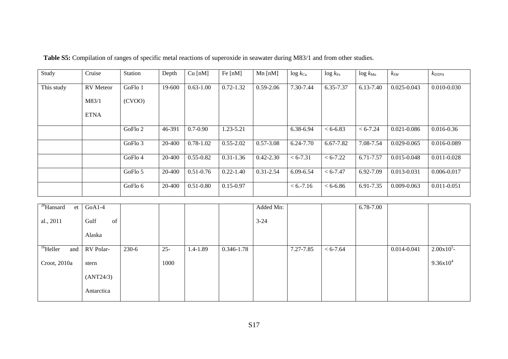| Study      | Cruise           | Station | Depth  | $Cu$ [nM]     | Fe $[nM]$     | $Mn$ [nM]     | $\log k_{\text{Cu}}$ | $\log k_{\rm Fe}$ | $\log k_{\text{Mn}}$ | $k_{SW}$        | $k_{DTPA}$      |
|------------|------------------|---------|--------|---------------|---------------|---------------|----------------------|-------------------|----------------------|-----------------|-----------------|
| This study | <b>RV</b> Meteor | GoFlo 1 | 19-600 | $0.63 - 1.00$ | $0.72 - 1.32$ | $0.59 - 2.06$ | 7.30-7.44            | 6.35-7.37         | 6.13-7.40            | $0.025 - 0.043$ | $0.010 - 0.030$ |
|            | M83/1            | (CVOO)  |        |               |               |               |                      |                   |                      |                 |                 |
|            | <b>ETNA</b>      |         |        |               |               |               |                      |                   |                      |                 |                 |
|            |                  | GoFlo 2 | 46-391 | $0.7 - 0.90$  | 1.23-5.21     |               | 6.38-6.94            | $< 6 - 6.83$      | $< 6 - 7.24$         | $0.021 - 0.086$ | $0.016 - 0.36$  |
|            |                  | GoFlo 3 | 20-400 | $0.78 - 1.02$ | $0.55 - 2.02$ | $0.57 - 3.08$ | 6.24-7.70            | 6.67-7.82         | 7.08-7.54            | $0.029 - 0.065$ | 0.016-0.089     |
|            |                  | GoFlo 4 | 20-400 | $0.55 - 0.82$ | $0.31 - 1.36$ | $0.42 - 2.30$ | $< 6 - 7.31$         | $< 6 - 7.22$      | 6.71-7.57            | 0.015-0.048     | $0.011 - 0.028$ |
|            |                  | GoFlo 5 | 20-400 | $0.51 - 0.76$ | $0.22 - 1.40$ | $0.31 - 2.54$ | 6.09-6.54            | $< 6 - 7.47$      | 6.92-7.09            | 0.013-0.031     | 0.006-0.017     |
|            |                  | GoFlo 6 | 20-400 | $0.51 - 0.80$ | $0.15 - 0.97$ |               | $< 6. -7.16$         | $< 6 - 6.86$      | 6.91-7.35            | $0.009 - 0.063$ | $0.011 - 0.051$ |

| <sup>28</sup> Hansard<br>et | $GoA1-4$   |       |        |              |                | Added Mn: |           |              | 6.78-7.00 |             |                      |
|-----------------------------|------------|-------|--------|--------------|----------------|-----------|-----------|--------------|-----------|-------------|----------------------|
| al., 2011                   | Gulf<br>of |       |        |              |                | $3 - 24$  |           |              |           |             |                      |
|                             | Alaska     |       |        |              |                |           |           |              |           |             |                      |
| <sup>16</sup> Heller<br>and | RV Polar-  | 230-6 | $25 -$ | $1.4 - 1.89$ | $0.346 - 1.78$ |           | 7.27-7.85 | $< 6 - 7.64$ |           | 0.014-0.041 | 2.00x10 <sup>5</sup> |
| Croot, 2010a                | stern      |       | 1000   |              |                |           |           |              |           |             | $9.36x10^{4}$        |
|                             | (ANT24/3)  |       |        |              |                |           |           |              |           |             |                      |
|                             | Antarctica |       |        |              |                |           |           |              |           |             |                      |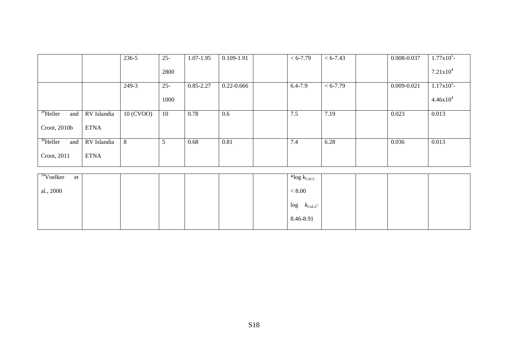|                             |             | 236-5     | $25 -$ | 1.07-1.95     | 0.109-1.91     | $< 6 - 7.79$                | $< 6 - 7.43$ | 0.008-0.037     | $1.77 \times 10^5$ - |
|-----------------------------|-------------|-----------|--------|---------------|----------------|-----------------------------|--------------|-----------------|----------------------|
|                             |             |           | 2800   |               |                |                             |              |                 | $7.21x10^4$          |
|                             |             | 249-3     | $25 -$ | $0.85 - 2.27$ | $0.22 - 0.666$ | $6.4 - 7.9$                 | $< 6 - 7.79$ | $0.009 - 0.021$ | 1.17x10 <sup>5</sup> |
|                             |             |           | 1000   |               |                |                             |              |                 | $4.46x10^{4}$        |
| $^{29}$ Heller<br>and       | RV Islandia | 10 (CVOO) | 10     | 0.78          | 0.6            | 7.5                         | 7.19         | 0.023           | 0.013                |
| Croot, 2010b                | <b>ETNA</b> |           |        |               |                |                             |              |                 |                      |
| $30$ Heller<br>and          | RV Islandia | 8         | 5      | 0.68          | 0.81           | 7.4                         | 6.28         | 0.036           | 0.013                |
| Croot, 2011                 | <b>ETNA</b> |           |        |               |                |                             |              |                 |                      |
|                             |             |           |        |               |                |                             |              |                 |                      |
| <sup>14</sup> Voelker<br>et |             |           |        |               |                | $*$ log $k_{\text{CuL1}}$ : |              |                 |                      |
| al., 2000                   |             |           |        |               |                | $<\t8.00$                   |              |                 |                      |
|                             |             |           |        |               |                | $log$ $k_{\text{CuL2}}$ :   |              |                 |                      |
|                             |             |           |        |               |                | 8.46-8.91                   |              |                 |                      |
|                             |             |           |        |               |                |                             |              |                 |                      |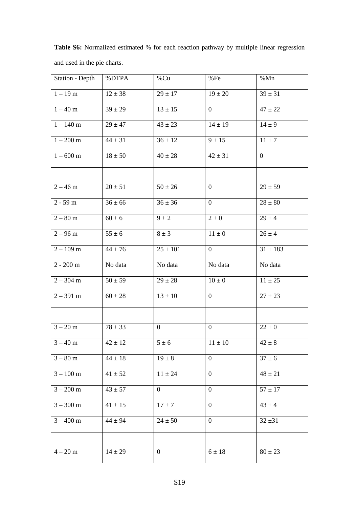**Table S6:** Normalized estimated % for each reaction pathway by multiple linear regression and used in the pie charts.

| <b>Station - Depth</b> | %DTPA                 | %Cu                   | %Fe            | %Mn            |
|------------------------|-----------------------|-----------------------|----------------|----------------|
| $1 - 19m$              | $12 \pm 38$           | $29 \pm 17$           | $19 \pm 20$    | $39 \pm 31$    |
| $1-40~\mathrm{m}$      | $39 \pm 29$           | $\frac{1}{13} \pm 15$ | $\overline{0}$ | $47 \pm 22$    |
| $1 - 140$ m            | $29 \pm 47$           | $43 \pm 23$           | $14 \pm 19$    | $14 \pm 9$     |
| $1 - 200$ m            | $44 \pm 31$           | $36 \pm 12$           | $9 \pm 15$     | $11 \pm 7$     |
| $1 - 600 \,\mathrm{m}$ | $18 \pm 50$           | $40 \pm 28$           | $42 \pm 31$    | $\overline{0}$ |
|                        |                       |                       |                |                |
| $2 - 46$ m             | $20 \pm 51$           | $50 \pm 26$           | $\overline{0}$ | $29 \pm 59$    |
| $2 - 59$ m             | $36 \pm 66$           | $36 \pm 36$           | $\overline{0}$ | $28 \pm 80$    |
| $2 - 80$ m             | $60 \pm 6$            | $9 \pm 2$             | $2 \pm 0$      | $29 \pm 4$     |
| $2 - 96$ m             | $55 \pm 6$            | $8 \pm 3$             | $11\pm0$       | $26 \pm 4$     |
| $2 - 109$ m            | $44 \pm 76$           | $25 \pm 101$          | $\overline{0}$ | $31 \pm 183$   |
| $2 - 200$ m            | No data               | No data               | No data        | No data        |
| $2 - 304$ m            | $\frac{1}{50} \pm 59$ | $29 \pm 28$           | $10\pm0$       | $11 \pm 25$    |
| $2 - 391$ m            | $60 \pm 28$           | $13 \pm 10$           | $\overline{0}$ | $27 \pm 23$    |
|                        |                       |                       |                |                |
| $3 - 20$ m             | $\frac{78 \pm 33}{ }$ | $\overline{0}$        | $\overline{0}$ | $22\pm0$       |
| $3 - 40$ m             | $42 \pm 12$           | $5 \pm 6$             | $11 \pm 10$    | $42 \pm 8$     |
| $3 - 80$ m             | $44 \pm 18$           | $19 \pm 8$            | $\mathbf{0}$   | $37 \pm 6$     |
| $3 - 100$ m            | $41 \pm 52$           | $11 \pm 24$           | $\overline{0}$ | $48 \pm 21$    |
| $3 - 200$ m            | $43 \pm 57$           | $\boldsymbol{0}$      | $\overline{0}$ | $57 \pm 17$    |
| $3 - 300$ m            | $41 \pm 15$           | $17 \pm 7$            | $\mathbf{0}$   | $43 \pm 4$     |
| $3 - 400 m$            | $44 \pm 94$           | $24 \pm 50$           | $\overline{0}$ | $32 \pm 31$    |
|                        |                       |                       |                |                |
| $4 - 20$ m             | $14 \pm 29$           | $\overline{0}$        | $6 \pm 18$     | $80 \pm 23$    |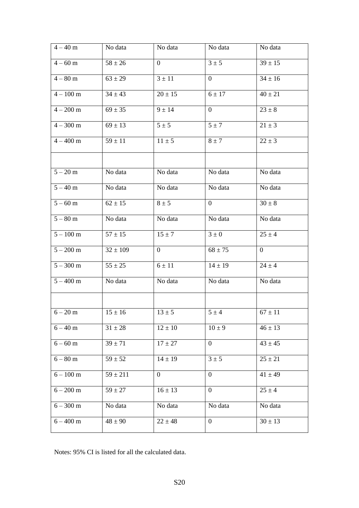| $4 - 40 m$       | No data                | No data        | No data          | No data               |
|------------------|------------------------|----------------|------------------|-----------------------|
| $4 - 60$ m       | $58 \pm 26$            | $\overline{0}$ | $3 \pm 5$        | $39 \pm 15$           |
| $4 - 80$ m       | $63 \pm 29$            | $3 \pm 11$     | $\overline{0}$   | $34 \pm 16$           |
| $4-100\;{\rm m}$ | $34 \pm 43$            | $20 \pm 15$    | $6 \pm 17$       | $40 \pm 21$           |
| $4 - 200$ m      | $69 \pm 35$            | $9 \pm 14$     | $\overline{0}$   | $23 \pm 8$            |
| $4 - 300$ m      | $69 \pm 13$            | $5 \pm 5$      | $5 \pm 7$        | $21 \pm 3$            |
| $4 - 400$ m      | $59 \pm 11$            | $11 \pm 5$     | $8 \pm 7$        | $22 \pm 3$            |
|                  |                        |                |                  |                       |
| $5 - 20$ m       | No data                | No data        | No data          | No data               |
| $5 - 40$ m       | No data                | No data        | No data          | No data               |
| $5 - 60$ m       | $62 \pm 15$            | $8 \pm 5$      | $\overline{0}$   | $30 \pm 8$            |
| $5 - 80$ m       | No data                | No data        | No data          | No data               |
| $5 - 100$ m      | $\frac{1}{57}$ ± 15    | $15 \pm 7$     | $3 \pm 0$        | $\overline{25} \pm 4$ |
| $5 - 200$ m      | $32 \pm 109$           | $\overline{0}$ | $68 \pm 75$      | $\overline{0}$        |
| $5 - 300$ m      | $55 \pm 25$            | $6 \pm 11$     | $14 \pm 19$      | $24 \pm 4$            |
| $5 - 400$ m      | No data                | No data        | No data          | No data               |
|                  |                        |                |                  |                       |
| $6 - 20$ m       | $15 \pm 16$            | $13 \pm 5$     | $5 \pm 4$        | $67 \pm 11$           |
| $6 - 40$ m       | $\overline{31} \pm 28$ | $12\pm10$      | $10 \pm 9$       | $46 \pm 13$           |
| $6 - 60$ m       | $39 \pm 71$            | $17\pm27$      | $\overline{0}$   | $43 \pm 45$           |
| $6 - 80$ m       | $59 \pm 52$            | $14 \pm 19$    | $3 \pm 5$        | $25 \pm 21$           |
| $6 - 100$ m      | $59 \pm 211$           | $\overline{0}$ | $\mathbf{0}$     | $41 \pm 49$           |
| $6 - 200$ m      | $59 \pm 27$            | $16 \pm 13$    | $\boldsymbol{0}$ | $25 \pm 4$            |
| $6 - 300$ m      | No data                | No data        | No data          | No data               |
| $6 - 400$ m      | $48 \pm 90$            | $22 \pm 48$    | $\boldsymbol{0}$ | $30 \pm 13$           |

Notes: 95% CI is listed for all the calculated data.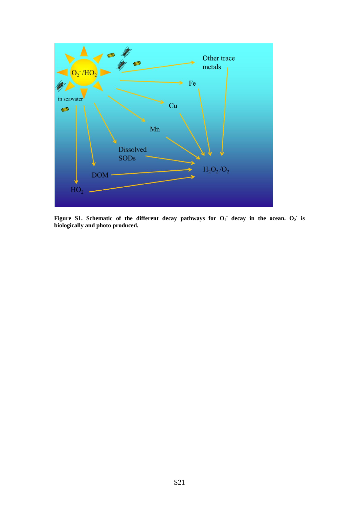

<span id="page-20-0"></span>Figure S1. Schematic of the different decay pathways for  $O_2$  decay in the ocean.  $O_2$  is **biologically and photo produced.**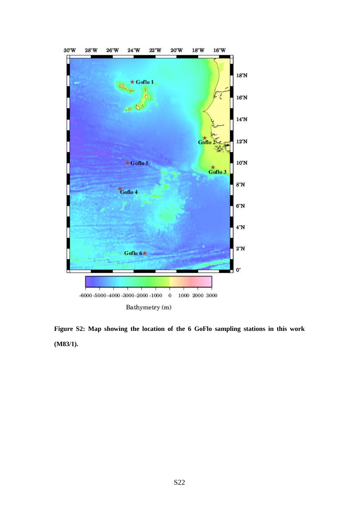

**Figure S2: Map showing the location of the 6 GoFlo sampling stations in this work (M83/1).**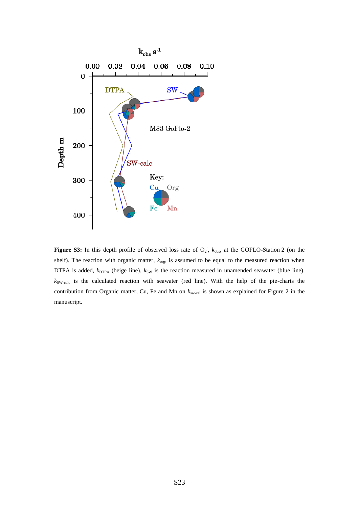

**Figure S3:** In this depth profile of observed loss rate of  $O_2$ ,  $k_{obs}$ , at the GOFLO-Station 2 (on the shelf). The reaction with organic matter,  $k_{org}$ , is assumed to be equal to the measured reaction when DTPA is added,  $k_{\text{DTPA}}$  (beige line).  $k_{\text{SW}}$  is the reaction measured in unamended seawater (blue line). *k*SW-calc is the calculated reaction with seawater (red line). With the help of the pie-charts the contribution from Organic matter, Cu, Fe and Mn on  $k_{sw\text{-cal}}$  is shown as explained for Figure 2 in the manuscript.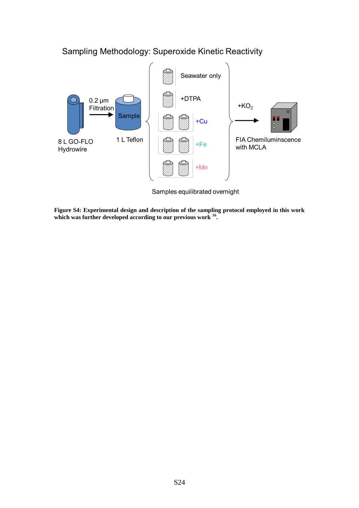

Sampling Methodology: Superoxide Kinetic Reactivity

**Figure S4: Experimental design and description of the sampling protocol employed in this work which was further developed according to our previous work [16](#page-25-0) .**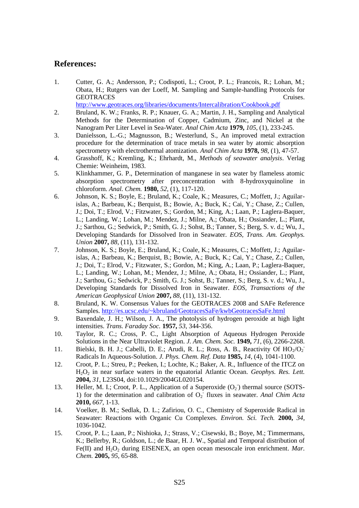### **References:**

<span id="page-24-0"></span>1. Cutter, G. A.; Andersson, P.; Codispoti, L.; Croot, P. L.; Francois, R.; Lohan, M.; Obata, H.; Rutgers van der Loeff, M. Sampling and Sample-handling Protocols for GEOTRACES Cruises.

<http://www.geotraces.org/libraries/documents/Intercalibration/Cookbook.pdf>

- <span id="page-24-1"></span>2. Bruland, K. W.; Franks, R. P.; Knauer, G. A.; Martin, J. H., Sampling and Analytical Methods for the Determination of Copper, Cadmium, Zinc, and Nickel at the Nanogram Per Liter Level in Sea-Water. *Anal Chim Acta* **1979,** *105*, (1), 233-245.
- 3. Danielsson, L.-G.; Magnusson, B.; Westerlund, S., An improved metal extraction procedure for the determination of trace metals in sea water by atomic absorption spectrometry with electrothermal atomization. *Anal Chim Acta* **1978,** *98*, (1), 47-57.
- 4. Grasshoff, K.; Kremling, K.; Ehrhardt, M., *Methods of seawater analysis*. Verlag Chemie: Weinheim, 1983.
- <span id="page-24-2"></span>5. Klinkhammer, G. P., Determination of manganese in sea water by flameless atomic absorption spectrometry after preconcentration with 8-hydroxyquinoline in chloroform. *Anal. Chem.* **1980,** *52*, (1), 117-120.
- <span id="page-24-3"></span>6. Johnson, K. S.; Boyle, E.; Bruland, K.; Coale, K.; Measures, C.; Moffett, J.; Aguilarislas, A.; Barbeau, K.; Berquist, B.; Bowie, A.; Buck, K.; Cai, Y.; Chase, Z.; Cullen, J.; Doi, T.; Elrod, V.; Fitzwater, S.; Gordon, M.; King, A.; Laan, P.; Laglera-Baquer, L.; Landing, W.; Lohan, M.; Mendez, J.; Milne, A.; Obata, H.; Ossiander, L.; Plant, J.; Sarthou, G.; Sedwick, P.; Smith, G. J.; Sohst, B.; Tanner, S.; Berg, S. v. d.; Wu, J., Developing Standards for Dissolved Iron in Seawater. *EOS, Trans. Am. Geophys. Union* **2007,** *88*, (11), 131-132.
- <span id="page-24-13"></span><span id="page-24-4"></span>7. Johnson, K. S.; Boyle, E.; Bruland, K.; Coale, K.; Measures, C.; Moffett, J.; Aguilarislas, A.; Barbeau, K.; Berquist, B.; Bowie, A.; Buck, K.; Cai, Y.; Chase, Z.; Cullen, J.; Doi, T.; Elrod, V.; Fitzwater, S.; Gordon, M.; King, A.; Laan, P.; Laglera-Baquer, L.; Landing, W.; Lohan, M.; Mendez, J.; Milne, A.; Obata, H.; Ossiander, L.; Plant, J.; Sarthou, G.; Sedwick, P.; Smith, G. J.; Sohst, B.; Tanner, S.; Berg, S. v. d.; Wu, J., Developing Standards for Dissolved Iron in Seawater. *EOS, Transactions of the American Geophysical Union* **2007,** *88*, (11), 131-132.
- <span id="page-24-5"></span>8. Bruland, K. W. Consensus Values for the GEOTRACES 2008 and SAFe Reference Samples.<http://es.ucsc.edu/~kbruland/GeotracesSaFe/kwbGeotracesSaFe.html>
- <span id="page-24-6"></span>9. Baxendale, J. H.; Wilson, J. A., The photolysis of hydrogen peroxide at high light intensities. *Trans. Faraday Soc.* **1957,** *53*, 344-356.
- <span id="page-24-7"></span>10. Taylor, R. C.; Cross, P. C., Light Absorption of Aqueous Hydrogen Peroxide Solutions in the Near Ultraviolet Region. *J. Am. Chem. Soc.* **1949,** *71*, (6), 2266-2268.
- <span id="page-24-8"></span>11. Bielski, B. H. J.; Cabelli, D. E.; Arudi, R. L.; Ross, A. B., Reactivity Of  $HO_2/O_2$ <sup>-</sup> Radicals In Aqueous-Solution. *J. Phys. Chem. Ref. Data* **1985,** *14*, (4), 1041-1100.
- <span id="page-24-10"></span>12. Croot, P. L.; Streu, P.; Peeken, I.; Lochte, K.; Baker, A. R., Influence of the ITCZ on H2O<sup>2</sup> in near surface waters in the equatorial Atlantic Ocean. *Geophys. Res. Lett.*  **2004,** *31*, L23S04, doi:10.1029/2004GL020154.
- <span id="page-24-11"></span>13. Heller, M. I.; Croot, P. L., Application of a Superoxide  $(O_2)$  thermal source (SOTS-1) for the determination and calibration of  $O_2$ <sup>-</sup> fluxes in seawater. *Anal Chim Acta* **2010,** *667*, 1-13.
- <span id="page-24-9"></span>14. Voelker, B. M.; Sedlak, D. L.; Zafiriou, O. C., Chemistry of Superoxide Radical in Seawater: Reactions with Organic Cu Complexes. *Environ. Sci. Tech.* **2000,** *34*, 1036-1042.
- <span id="page-24-12"></span>15. Croot, P. L.; Laan, P.; Nishioka, J.; Strass, V.; Cisewski, B.; Boye, M.; Timmermans, K.; Bellerby, R.; Goldson, L.; de Baar, H. J. W., Spatial and Temporal distribution of Fe(II) and H<sub>2</sub>O<sub>2</sub> during EISENEX, an open ocean mesoscale iron enrichment. *Mar. Chem.* **2005,** *95*, 65-88.